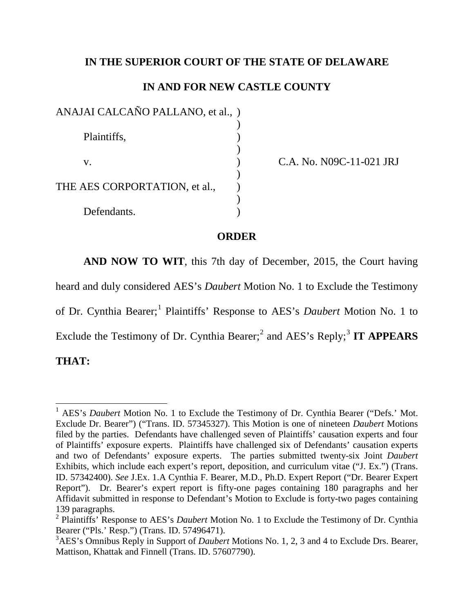### **IN THE SUPERIOR COURT OF THE STATE OF DELAWARE**

# **IN AND FOR NEW CASTLE COUNTY**

| ANAJAI CALCAÑO PALLANO, et al., ) |  |
|-----------------------------------|--|
| Plaintiffs,                       |  |
| V.                                |  |
| THE AES CORPORTATION, et al.,     |  |
| Defendants.                       |  |

C.A. No. N09C-11-021 JRJ

#### **ORDER**

**AND NOW TO WIT**, this 7th day of December, 2015, the Court having

heard and duly considered AES's *Daubert* Motion No. 1 to Exclude the Testimony

of Dr. Cynthia Bearer;<sup>[1](#page-0-0)</sup> Plaintiffs' Response to AES's *Daubert* Motion No. 1 to

Exclude the Testimony of Dr. Cynthia Bearer;<sup>[2](#page-0-1)</sup> and AES's Reply;<sup>[3](#page-0-2)</sup> IT APPEARS

## **THAT:**

<span id="page-0-0"></span><sup>&</sup>lt;sup>1</sup> AES's *Daubert* Motion No. 1 to Exclude the Testimony of Dr. Cynthia Bearer ("Defs.' Mot. Exclude Dr. Bearer") ("Trans. ID. 57345327). This Motion is one of nineteen *Daubert* Motions filed by the parties. Defendants have challenged seven of Plaintiffs' causation experts and four of Plaintiffs' exposure experts. Plaintiffs have challenged six of Defendants' causation experts and two of Defendants' exposure experts. The parties submitted twenty-six Joint *Daubert*  Exhibits, which include each expert's report, deposition, and curriculum vitae ("J. Ex.") (Trans. ID. 57342400). *See* J.Ex. 1.A Cynthia F. Bearer, M.D., Ph.D. Expert Report ("Dr. Bearer Expert Report"). Dr. Bearer's expert report is fifty-one pages containing 180 paragraphs and her Affidavit submitted in response to Defendant's Motion to Exclude is forty-two pages containing 139 paragraphs.

<span id="page-0-1"></span><sup>2</sup> Plaintiffs' Response to AES's *Daubert* Motion No. 1 to Exclude the Testimony of Dr. Cynthia Bearer ("Pls.' Resp.") (Trans. ID. 57496471).

<span id="page-0-2"></span><sup>3</sup> AES's Omnibus Reply in Support of *Daubert* Motions No. 1, 2, 3 and 4 to Exclude Drs. Bearer, Mattison, Khattak and Finnell (Trans. ID. 57607790).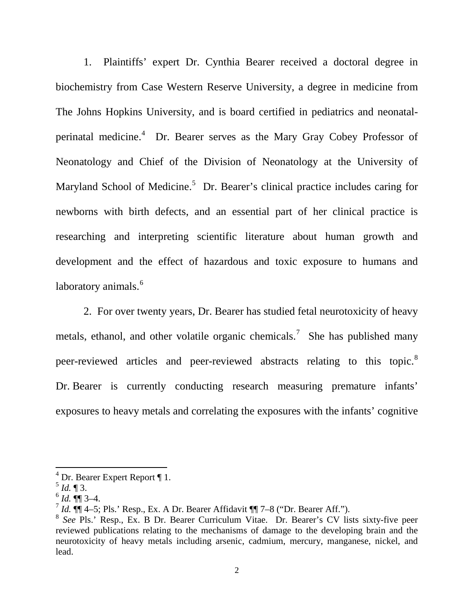1. Plaintiffs' expert Dr. Cynthia Bearer received a doctoral degree in biochemistry from Case Western Reserve University, a degree in medicine from The Johns Hopkins University, and is board certified in pediatrics and neonatal-perinatal medicine.<sup>[4](#page-1-0)</sup> Dr. Bearer serves as the Mary Gray Cobey Professor of Neonatology and Chief of the Division of Neonatology at the University of Maryland School of Medicine.<sup>[5](#page-1-0)</sup> Dr. Bearer's clinical practice includes caring for newborns with birth defects, and an essential part of her clinical practice is researching and interpreting scientific literature about human growth and development and the effect of hazardous and toxic exposure to humans and laboratory animals.<sup>[6](#page-1-0)</sup>

2. For over twenty years, Dr. Bearer has studied fetal neurotoxicity of heavy metals, ethanol, and other volatile organic chemicals.<sup>[7](#page-1-0)</sup> She has published many peer-reviewed articles and peer-reviewed abstracts relating to this topic.<sup>[8](#page-1-0)</sup> Dr. Bearer is currently conducting research measuring premature infants' exposures to heavy metals and correlating the exposures with the infants' cognitive

<span id="page-1-0"></span><sup>4</sup> Dr. Bearer Expert Report ¶ 1.

 $^5$  *Id.* ¶ 3.

 $^{6}$  *Id.* **¶** 3–4.

 $\frac{7}{1}$  *Id.*  $\P\P$  4–5; Pls.' Resp., Ex. A Dr. Bearer Affidavit  $\P\P$  7–8 ("Dr. Bearer Aff.").

<sup>8</sup> *See* Pls.' Resp., Ex. B Dr. Bearer Curriculum Vitae. Dr. Bearer's CV lists sixty-five peer reviewed publications relating to the mechanisms of damage to the developing brain and the neurotoxicity of heavy metals including arsenic, cadmium, mercury, manganese, nickel, and lead.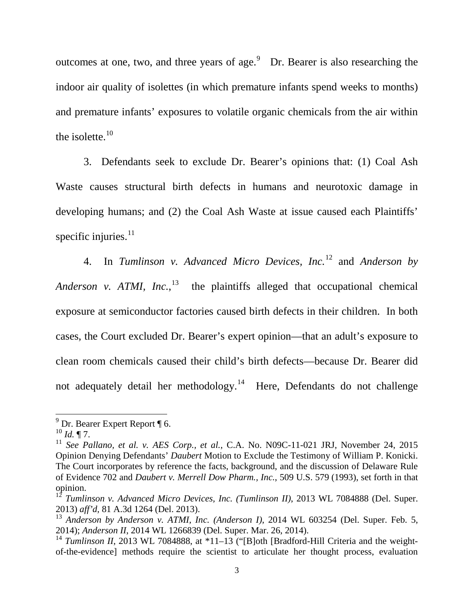outcomes at one, two, and three years of age. $9$  Dr. Bearer is also researching the indoor air quality of isolettes (in which premature infants spend weeks to months) and premature infants' exposures to volatile organic chemicals from the air within the isolette. $10$ 

3. Defendants seek to exclude Dr. Bearer's opinions that: (1) Coal Ash Waste causes structural birth defects in humans and neurotoxic damage in developing humans; and (2) the Coal Ash Waste at issue caused each Plaintiffs' specific injuries. $11$ 

4. In *Tumlinson v. Advanced Micro Devices, Inc.*[12](#page-2-0) and *Anderson by*  Anderson v. ATMI, Inc.,<sup>[13](#page-2-0)</sup> the plaintiffs alleged that occupational chemical exposure at semiconductor factories caused birth defects in their children. In both cases, the Court excluded Dr. Bearer's expert opinion—that an adult's exposure to clean room chemicals caused their child's birth defects—because Dr. Bearer did not adequately detail her methodology.<sup>14</sup> Here, Defendants do not challenge

<span id="page-2-0"></span><sup>9</sup> Dr. Bearer Expert Report ¶ 6.

 $^{10}$  *Id.* ¶ 7.

<sup>11</sup> *See Pallano, et al. v. AES Corp., et al.*, C.A. No. N09C-11-021 JRJ, November 24, 2015 Opinion Denying Defendants' *Daubert* Motion to Exclude the Testimony of William P. Konicki. The Court incorporates by reference the facts, background, and the discussion of Delaware Rule of Evidence 702 and *Daubert v. Merrell Dow Pharm., Inc.*, 509 U.S. 579 (1993), set forth in that

<sup>&</sup>lt;sup>12</sup> *Tumlinson v. Advanced Micro Devices, Inc. (Tumlinson II)*, 2013 WL 7084888 (Del. Super. 2013) *aff'd,* 81 A.3d 1264 (Del. 2013).

<sup>&</sup>lt;sup>13</sup> Anderson by Anderson v. ATMI, Inc. (Anderson I), 2014 WL 603254 (Del. Super. Feb. 5, 2014); *Anderson II*, 2014 WL 1266839 (Del. Super. Mar. 26, 2014).

<sup>&</sup>lt;sup>14</sup> *Tumlinson II*, 2013 WL 7084888, at \*11–13 ("[B]oth [Bradford-Hill Criteria and the weightof-the-evidence] methods require the scientist to articulate her thought process, evaluation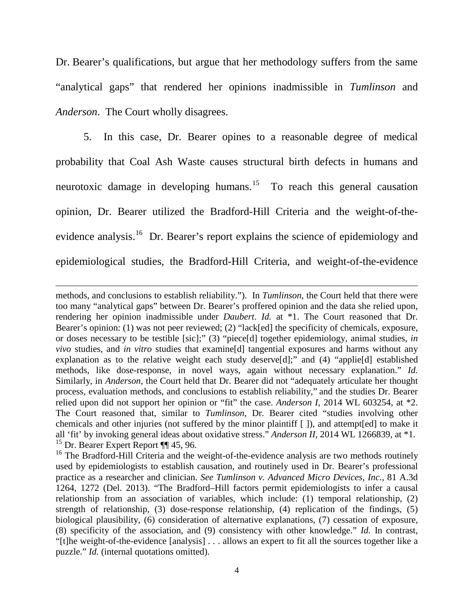Dr. Bearer's qualifications, but argue that her methodology suffers from the same "analytical gaps" that rendered her opinions inadmissible in *Tumlinson* and *Anderson*. The Court wholly disagrees.

5. In this case, Dr. Bearer opines to a reasonable degree of medical probability that Coal Ash Waste causes structural birth defects in humans and neurotoxic damage in developing humans.<sup>[15](#page-3-0)</sup> To reach this general causation opinion, Dr. Bearer utilized the Bradford-Hill Criteria and the weight-of-the-evidence analysis.<sup>[16](#page-3-0)</sup> Dr. Bearer's report explains the science of epidemiology and epidemiological studies, the Bradford-Hill Criteria, and weight-of-the-evidence

 $\overline{\phantom{a}}$ 

<span id="page-3-0"></span>methods, and conclusions to establish reliability."). In *Tumlinson*, the Court held that there were too many "analytical gaps" between Dr. Bearer's proffered opinion and the data she relied upon, rendering her opinion inadmissible under *Daubert*. *Id.* at \*1. The Court reasoned that Dr. Bearer's opinion: (1) was not peer reviewed; (2) "lack[ed] the specificity of chemicals, exposure, or doses necessary to be testible [sic];" (3) "piece[d] together epidemiology, animal studies, *in vivo* studies, and *in vitro* studies that examine[d] tangential exposures and harms without any explanation as to the relative weight each study deserve[d];" and (4) "applie[d] established methods, like dose-response, in novel ways, again without necessary explanation." *Id.* Similarly, in *Anderson*, the Court held that Dr. Bearer did not "adequately articulate her thought process, evaluation methods, and conclusions to establish reliability," and the studies Dr. Bearer relied upon did not support her opinion or "fit" the case. *Anderson I*, 2014 WL 603254, at \*2. The Court reasoned that, similar to *Tumlinson*, Dr. Bearer cited "studies involving other chemicals and other injuries (not suffered by the minor plaintiff [ ]), and attempt[ed] to make it all 'fit' by invoking general ideas about oxidative stress." *Anderson II*, 2014 WL 1266839, at \*1.  $15$  Dr. Bearer Expert Report  $\P\P$  45, 96.

<sup>&</sup>lt;sup>16</sup> The Bradford-Hill Criteria and the weight-of-the-evidence analysis are two methods routinely used by epidemiologists to establish causation, and routinely used in Dr. Bearer's professional practice as a researcher and clinician. *See Tumlinson v. Advanced Micro Devices, Inc.*, 81 A.3d 1264, 1272 (Del. 2013). "The Bradford–Hill factors permit epidemiologists to infer a causal relationship from an association of variables, which include: (1) temporal relationship, (2) strength of relationship, (3) dose-response relationship, (4) replication of the findings, (5) biological plausibility, (6) consideration of alternative explanations, (7) cessation of exposure, (8) specificity of the association, and (9) consistency with other knowledge." *Id.* In contrast, "[t]he weight-of-the-evidence [analysis] . . . allows an expert to fit all the sources together like a puzzle." *Id.* (internal quotations omitted).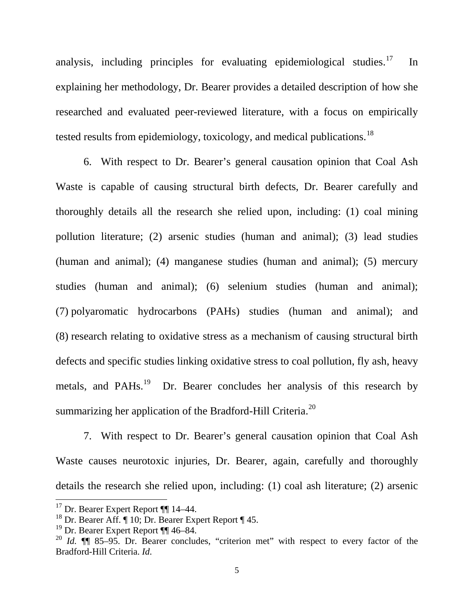analysis, including principles for evaluating epidemiological studies.<sup>17</sup> In explaining her methodology, Dr. Bearer provides a detailed description of how she researched and evaluated peer-reviewed literature, with a focus on empirically tested results from epidemiology, toxicology, and medical publications.<sup>18</sup>

6. With respect to Dr. Bearer's general causation opinion that Coal Ash Waste is capable of causing structural birth defects, Dr. Bearer carefully and thoroughly details all the research she relied upon, including: (1) coal mining pollution literature; (2) arsenic studies (human and animal); (3) lead studies (human and animal); (4) manganese studies (human and animal); (5) mercury studies (human and animal); (6) selenium studies (human and animal); (7) polyaromatic hydrocarbons (PAHs) studies (human and animal); and (8) research relating to oxidative stress as a mechanism of causing structural birth defects and specific studies linking oxidative stress to coal pollution, fly ash, heavy metals, and PAHs.<sup>19</sup> Dr. Bearer concludes her analysis of this research by summarizing her application of the Bradford-Hill Criteria. $^{20}$  $^{20}$  $^{20}$ 

7. With respect to Dr. Bearer's general causation opinion that Coal Ash Waste causes neurotoxic injuries, Dr. Bearer, again, carefully and thoroughly details the research she relied upon, including: (1) coal ash literature; (2) arsenic

<span id="page-4-0"></span><sup>&</sup>lt;sup>17</sup> Dr. Bearer Expert Report ¶¶ 14–44.

<sup>&</sup>lt;sup>18</sup> Dr. Bearer Aff.  $\P$  10; Dr. Bearer Expert Report  $\P$  45.

 $19$  Dr. Bearer Expert Report  $\P\P$  46–84.

<sup>&</sup>lt;sup>20</sup> *Id.* **[1]** 85–95. Dr. Bearer concludes, "criterion met" with respect to every factor of the Bradford-Hill Criteria. *Id.*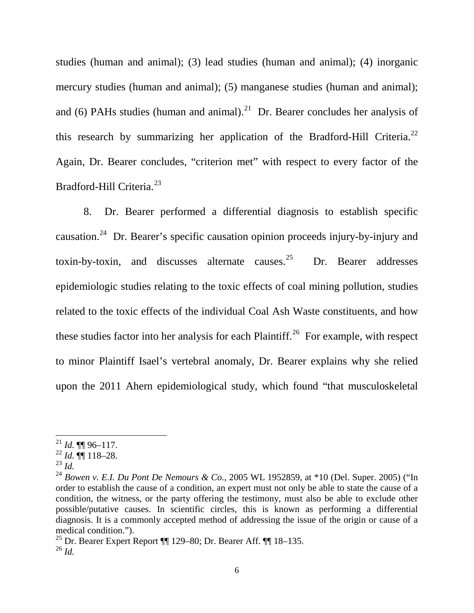studies (human and animal); (3) lead studies (human and animal); (4) inorganic mercury studies (human and animal); (5) manganese studies (human and animal); and (6) PAHs studies (human and animal).<sup>21</sup> Dr. Bearer concludes her analysis of this research by summarizing her application of the Bradford-Hill Criteria.<sup>[22](#page-5-0)</sup> Again, Dr. Bearer concludes, "criterion met" with respect to every factor of the Bradford-Hill Criteria.[23](#page-5-0)

8.Dr. Bearer performed a differential diagnosis to establish specific causation.<sup>[24](#page-5-0)</sup> Dr. Bearer's specific causation opinion proceeds injury-by-injury and toxin-by-toxin, and discusses alternate causes.<sup>25</sup> Dr. Bearer addresses epidemiologic studies relating to the toxic effects of coal mining pollution, studies related to the toxic effects of the individual Coal Ash Waste constituents, and how these studies factor into her analysis for each Plaintiff.<sup>[26](#page-5-0)</sup> For example, with respect to minor Plaintiff Isael's vertebral anomaly, Dr. Bearer explains why she relied upon the 2011 Ahern epidemiological study, which found "that musculoskeletal

<span id="page-5-0"></span> $^{21}$  *Id.* **¶** 96–117.

<sup>22</sup> *Id.* ¶¶ 118–28.

 $^{23}$  *Id.* 

<sup>24</sup> *Bowen v. E.I. Du Pont De Nemours & Co.*, 2005 WL 1952859, at \*10 (Del. Super. 2005) ("In order to establish the cause of a condition, an expert must not only be able to state the cause of a condition, the witness, or the party offering the testimony, must also be able to exclude other possible/putative causes. In scientific circles, this is known as performing a differential diagnosis. It is a commonly accepted method of addressing the issue of the origin or cause of a medical condition.").

<sup>25</sup> Dr. Bearer Expert Report ¶¶ 129–80; Dr. Bearer Aff. ¶¶ 18–135. <sup>26</sup> *Id.*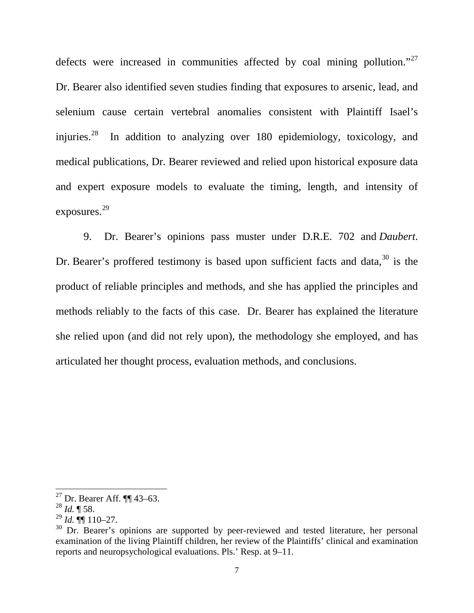defects were increased in communities affected by coal mining pollution."<sup>[27](#page-6-0)</sup> Dr. Bearer also identified seven studies finding that exposures to arsenic, lead, and selenium cause certain vertebral anomalies consistent with Plaintiff Isael's injuries.<sup>[28](#page-6-0)</sup> In addition to analyzing over 180 epidemiology, toxicology, and medical publications, Dr. Bearer reviewed and relied upon historical exposure data and expert exposure models to evaluate the timing, length, and intensity of exposures. [29](#page-6-0)

9. Dr. Bearer's opinions pass muster under D.R.E. 702 and *Daubert*. Dr. Bearer's proffered testimony is based upon sufficient facts and data,  $30$  is the product of reliable principles and methods, and she has applied the principles and methods reliably to the facts of this case. Dr. Bearer has explained the literature she relied upon (and did not rely upon), the methodology she employed, and has articulated her thought process, evaluation methods, and conclusions.

<span id="page-6-0"></span><sup>27</sup> Dr. Bearer Aff. ¶¶ 43–63.

<sup>28</sup> *Id.* ¶ 58.

 $^{29}$  *Id.*  $\P\P$  110–27.

 $30$  Dr. Bearer's opinions are supported by peer-reviewed and tested literature, her personal examination of the living Plaintiff children, her review of the Plaintiffs' clinical and examination reports and neuropsychological evaluations. Pls.' Resp. at 9–11.